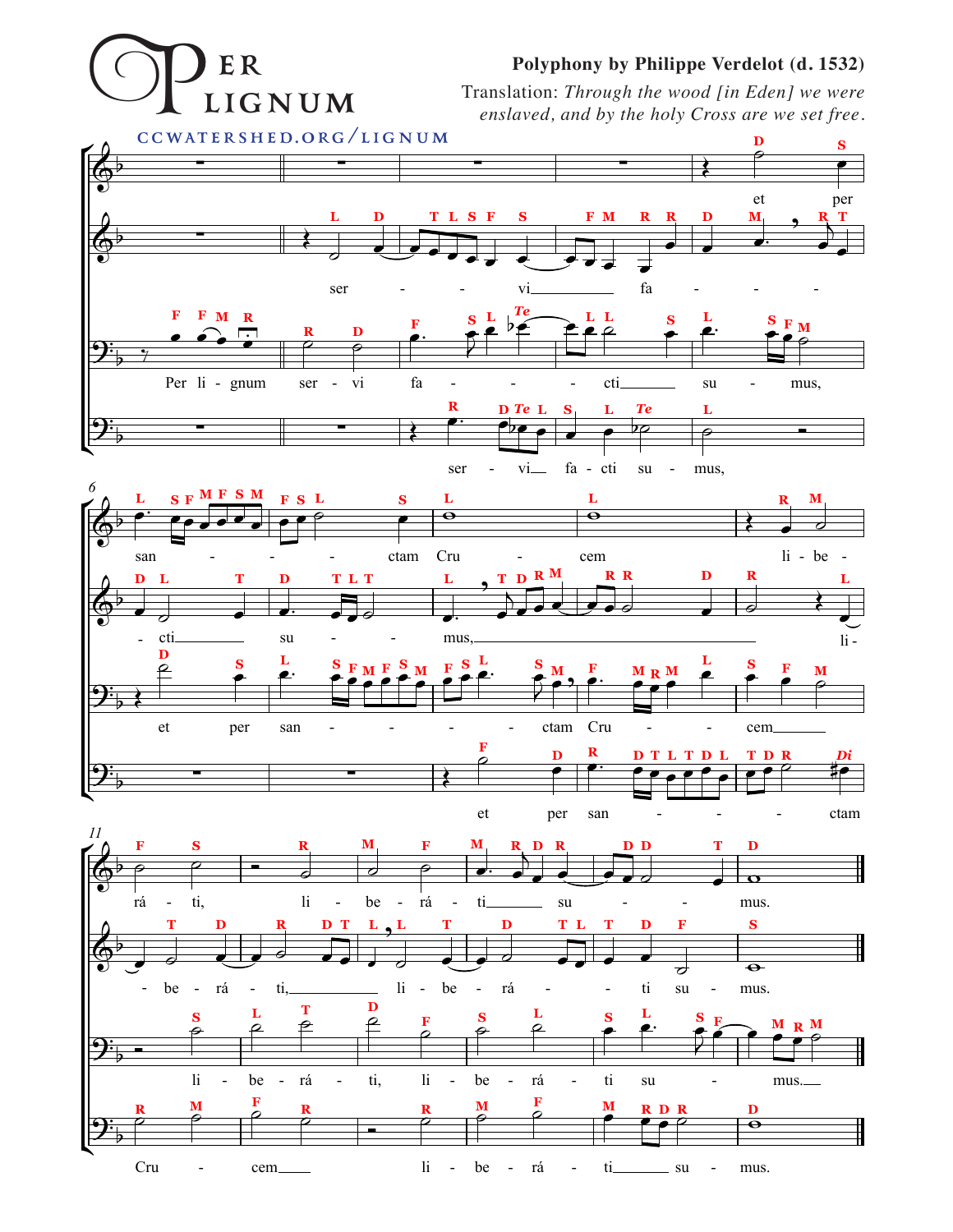## Polyphony by Philippe Verdelot (d. 1532)

ER LIGNUM

Translation: Through the wood [in Eden] we were enslaved, and by the holy Cross are we set free.

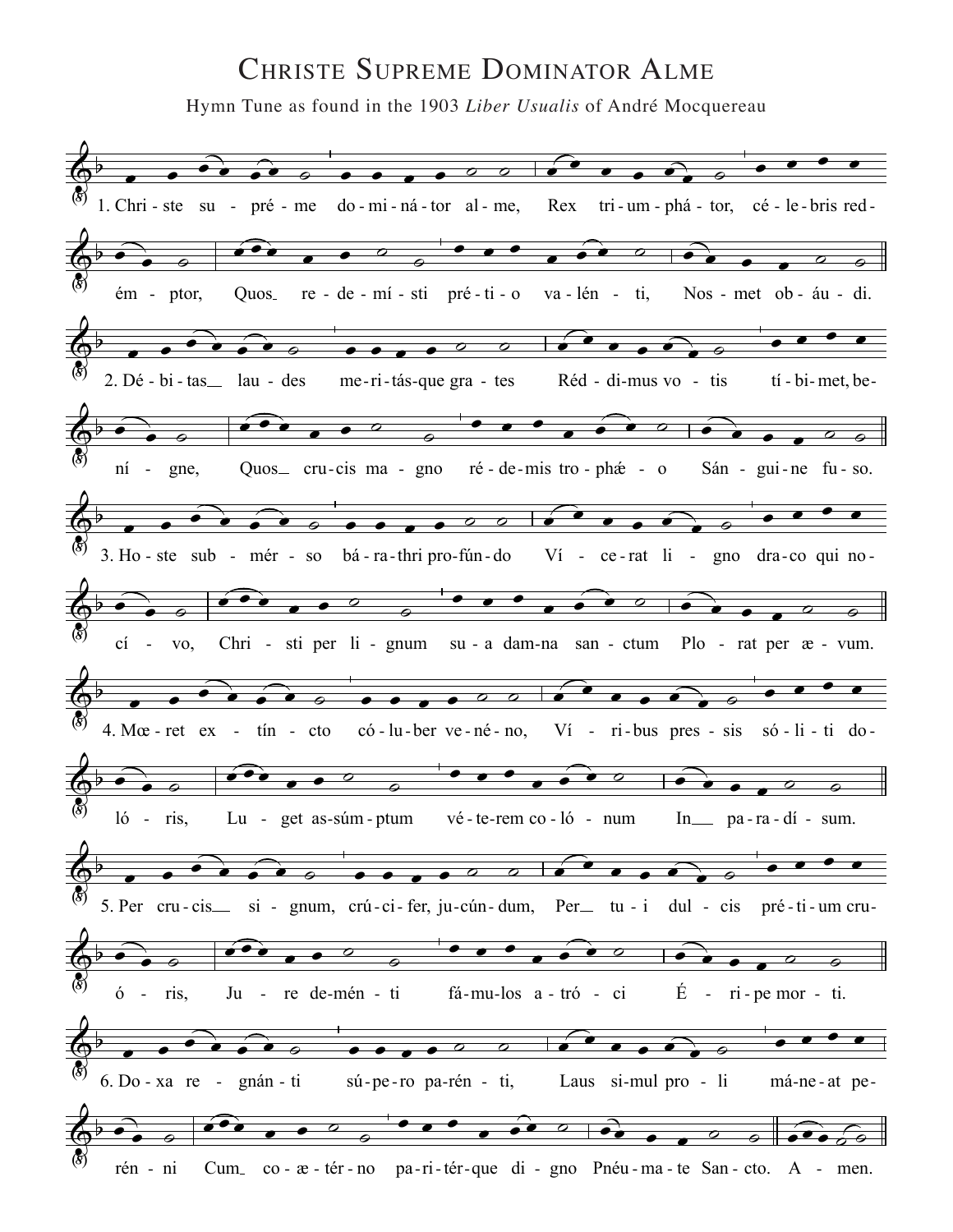## **CHRISTE SUPREME DOMINATOR ALME**

Hymn Tune as found in the 1903 Liber Usualis of André Mocquereau